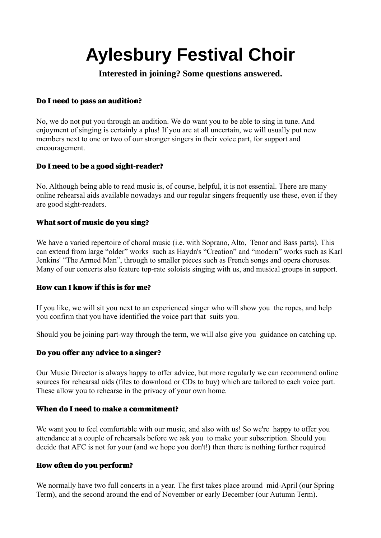# **Aylesbury Festival Choir**

**Interested in joining? Some questions answered.**

# Do I need to pass an audition?

No, we do not put you through an audition. We do want you to be able to sing in tune. And enjoyment of singing is certainly a plus! If you are at all uncertain, we will usually put new members next to one or two of our stronger singers in their voice part, for support and encouragement.

# Do I need to be a good sight-reader?

No. Although being able to read music is, of course, helpful, it is not essential. There are many online rehearsal aids available nowadays and our regular singers frequently use these, even if they are good sight-readers.

# What sort of music do you sing?

We have a varied repertoire of choral music (*i.e.* with Soprano, Alto, Tenor and Bass parts). This can extend from large "older" works such as Haydn's "Creation" and "modern" works such as Karl Jenkins' "The Armed Man", through to smaller pieces such as French songs and opera choruses. Many of our concerts also feature top-rate soloists singing with us, and musical groups in support.

## How can I know if this is for me?

If you like, we will sit you next to an experienced singer who will show you the ropes, and help you confirm that you have identified the voice part that suits you.

Should you be joining part-way through the term, we will also give you guidance on catching up.

## Do you offer any advice to a singer?

Our Music Director is always happy to offer advice, but more regularly we can recommend online sources for rehearsal aids (files to download or CDs to buy) which are tailored to each voice part. These allow you to rehearse in the privacy of your own home.

## When do I need to make a commitment?

We want you to feel comfortable with our music, and also with us! So we're happy to offer you attendance at a couple of rehearsals before we ask you to make your subscription. Should you decide that AFC is not for your (and we hope you don't!) then there is nothing further required

## How often do you perform?

We normally have two full concerts in a year. The first takes place around mid-April (our Spring Term), and the second around the end of November or early December (our Autumn Term).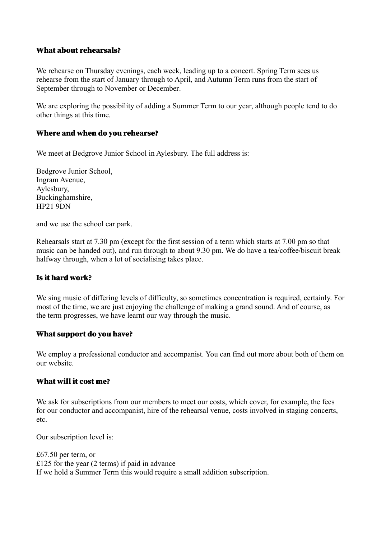#### What about rehearsals?

We rehearse on Thursday evenings, each week, leading up to a concert. Spring Term sees us rehearse from the start of January through to April, and Autumn Term runs from the start of September through to November or December.

We are exploring the possibility of adding a Summer Term to our year, although people tend to do other things at this time.

#### Where and when do you rehearse?

We meet at Bedgrove Junior School in Aylesbury. The full address is:

Bedgrove Junior School, Ingram Avenue, Aylesbury, Buckinghamshire, HP21 9DN

and we use the school car park.

Rehearsals start at 7.30 pm (except for the first session of a term which starts at 7.00 pm so that music can be handed out), and run through to about 9.30 pm. We do have a tea/coffee/biscuit break halfway through, when a lot of socialising takes place.

#### Is it hard work?

We sing music of differing levels of difficulty, so sometimes concentration is required, certainly. For most of the time, we are just enjoying the challenge of making a grand sound. And of course, as the term progresses, we have learnt our way through the music.

#### What support do you have?

We employ a professional conductor and accompanist. You can find out more about both of them on our website.

#### What will it cost me?

We ask for subscriptions from our members to meet our costs, which cover, for example, the fees for our conductor and accompanist, hire of the rehearsal venue, costs involved in staging concerts, etc.

Our subscription level is:

£67.50 per term, or £125 for the year (2 terms) if paid in advance If we hold a Summer Term this would require a small addition subscription.